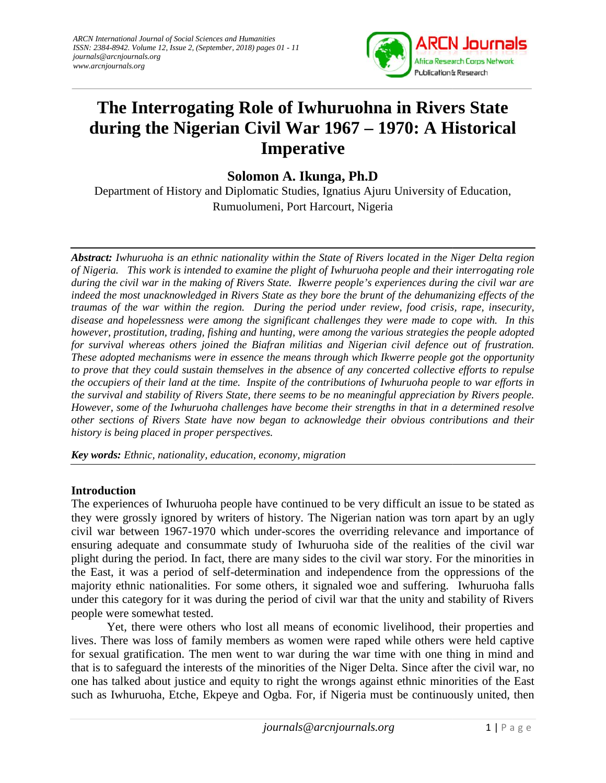

# **The Interrogating Role of Iwhuruohna in Rivers State during the Nigerian Civil War 1967 – 1970: A Historical Imperative**

**Solomon A. Ikunga, Ph.D**

Department of History and Diplomatic Studies, Ignatius Ajuru University of Education, Rumuolumeni, Port Harcourt, Nigeria

*Abstract: Iwhuruoha is an ethnic nationality within the State of Rivers located in the Niger Delta region of Nigeria. This work is intended to examine the plight of Iwhuruoha people and their interrogating role* **Abstract:** Iwhuruoha is an ethnic nationality within the State of Rivers located in the Niger Delta region<br>of Nigeria. This work is intended to examine the plight of Iwhuruoha people and their interrogating role<br>during *indeed the most unacknowledged in Rivers State as they bore the brunt of the dehumanizing effects of the traumas of the war within the region. During the period under review, food crisis, rape, insecurity,* indeed the most unacknowledged in Rivers State as they bore the brunt of the dehumanizing effects of the<br>traumas of the war within the region. During the period under review, food crisis, rape, insecurity,<br>disease and hope *however, prostitution, trading, fishing and hunting, were among the various strategies the people adopted were the strategies people adopted for survival whereas others joined the Biafran militias and Nigerian civil defence out of frustration. These adopted mechanisms were in essence the means through which Ikwerre people got the opportunity to prove that they could sustain themselves in the absence of any concerted collective efforts to repulse the occupiers of their land at the time. Inspite of the contributions of Iwhuruoha people to war efforts in the survival and stability of Rivers State, there seems to be no meaningful appreciation by Rivers people. However, some of the Iwhuruoha challenges have become their strengths in that in a determined resolve other sections of Rivers State have now began to acknowledge their obvious contributions and their history is being placed in proper perspectives.* **Imperative**<br> **Imperative**<br> **Ion A. Ikunga, Ph.D**<br> **Ion A. Ikunga, Ph.D**<br> **Ion** inte Studies, Ignatius Ajunu University of Education,<br>
then the plate of Nuorskin a people can the the Niger Delta region<br>  $\theta$  is State. Ikv *for survival whereas others joined the Biafran militias and Nigerian civil defence out of frus*<br>*These adopted mechanisms were in essence the means through which Ikwerre people got the oppoto prove that they could sustain* All Apple II and the separation of the set of the set of the set of the set of the set of the set of the set of the set of the set of the set of the set of the set of the set of the set of the set of the set of the set of

*Key words: Ethnic, nationality, education, economy, migration words: Ethnic, nationality, education, economy,* 

# **Introduction**

The experiences of Iwhuruoha people have continued to be very difficult an issue to be stated as they were grossly ignored by writers of history. The Nigerian nation was torn apart by an ugly civil war between 1967-1970 which under-scores the overriding relevance and importance of ensuring adequate and consummate study of Iwhuruoha side of the realities of the civil war plight during the period. In fact, there are many sides to the civil war story. For the minorities in the East, it was a period of self-determination and independence from the oppressions of the majority ethnic nationalities. For some others, it signaled woe and suffering. Iwhuruoha falls under this category for it was during the period of civil war that the unity and stability of Rivers people were somewhat tested.

*i* ninorities of the Niger Delta. Since after the civil war, no<br>to right the wrongs against ethnic minorities of the East<br>Ogba. For, if Nigeria must be continuously united, then<br>[journals@arcnjournals.org](mailto:journals@arcnjournals.org) 1 | P a g e Yet, there were others who lost all means of economic livelihood, their properties and lives. There was loss of family members as women were raped while others were held captive for sexual gratification. The men went to war during the war time with one thing in mind and that is to safeguard the interests of the minorities of the Niger Delta. Since after the civil war, no one has talked about justice and equity to right the wrongs against ethnic minorities of the East such as Iwhuruoha, Etche, Ekpeye and Ogba. For, if Nigeria must be continuously united, then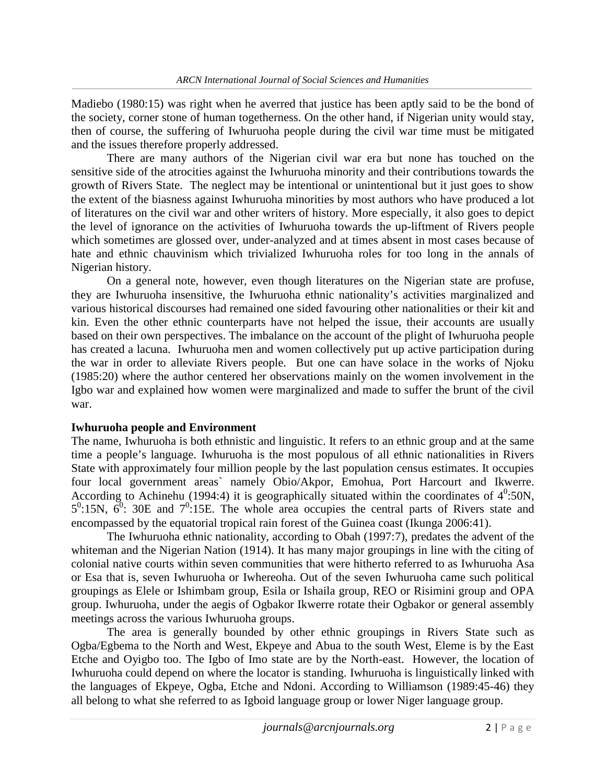Madiebo (1980:15) was right when he averred that justice has been aptly said to be the bond of the society, corner stone of human togetherness. On the other hand, if Nigerian unity would stay, then of course, the suffering of Iwhuruoha people during the civil war time must be mitigated and the issues therefore properly addressed.

There are many authors of the Nigerian civil war era but none has touched on the sensitive side of the atrocities against the Iwhuruoha minority and their contributions towards the growth of Rivers State. The neglect may be intentional or unintentional but it just goes to show the extent of the biasness against Iwhuruoha minorities by most authors who have produced a lot of literatures on the civil war and other writers of history. More especially, it also goes to depict the level of ignorance on the activities of Iwhuruoha towards the up-liftment of Rivers people which sometimes are glossed over, under-analyzed and at times absent in most cases because of hate and ethnic chauvinism which trivialized Iwhuruoha roles for too long in the annals of Nigerian history.

On a general note, however, even though literatures on the Nigerian state are profuse, they are Iwhuruoha insensitive, the Iwhuruoha ethnic nationality's activities marginalized and various historical discourses had remained one sided favouring other nationalities or their kit and kin. Even the other ethnic counterparts have not helped the issue, their accounts are usually based on their own perspectives. The imbalance on the account of the plight of Iwhuruoha people has created a lacuna. Iwhuruoha men and women collectively put up active participation during the war in order to alleviate Rivers people. But one can have solace in the works of Njoku (1985:20) where the author centered her observations mainly on the women involvement in the Igbo war and explained how women were marginalized and made to suffer the brunt of the civil war.

#### **Iwhuruoha people and Environment**

The name, Iwhuruoha is both ethnistic and linguistic. It refers to an ethnic group and at the same time a people's language. Iwhuruoha is the most populous of all ethnic nationalities in Rivers State with approximately four million people by the last population census estimates. It occupies four local government areas` namely Obio/Akpor, Emohua, Port Harcourt and Ikwerre. According to Achinehu (1994:4) it is geographically situated within the coordinates of  $4^0$ :50N,  $5^0$ :15N,  $6^0$ : 30E and  $7^0$ :15E. The whole area occupies the central parts of Rivers state and encompassed by the equatorial tropical rain forest of the Guinea coast (Ikunga 2006:41).

The Iwhuruoha ethnic nationality, according to Obah (1997:7), predates the advent of the whiteman and the Nigerian Nation (1914). It has many major groupings in line with the citing of colonial native courts within seven communities that were hitherto referred to as Iwhuruoha Asa or Esa that is, seven Iwhuruoha or Iwhereoha. Out of the seven Iwhuruoha came such political groupings as Elele or Ishimbam group, Esila or Ishaila group, REO or Risimini group and OPA group. Iwhuruoha, under the aegis of Ogbakor Ikwerre rotate their Ogbakor or general assembly meetings across the various Iwhuruoha groups.

*[journals@arcnjournals.org](mailto:journals@arcnjournals.org)* 2 | P a g e 2 | P a g e 2 | P a g e 2 | P a g e 2 | P a g e 2 | P a g e 2 | P a g e 2 | P a g e 2 | P a g e 2 | P a g e 2 | P a g e 2 | P a g e 2 | P a g e 2 | P a g e 2 | P a g e 2 | P a g e 2 The area is generally bounded by other ethnic groupings in Rivers State such as Ogba/Egbema to the North and West, Ekpeye and Abua to the south West, Eleme is by the East Etche and Oyigbo too. The Igbo of Imo state are by the North-east. However, the location of Iwhuruoha could depend on where the locator is standing. Iwhuruoha is linguistically linked with the languages of Ekpeye, Ogba, Etche and Ndoni. According to Williamson (1989:45-46) they all belong to what she referred to as Igboid language group or lower Niger language group.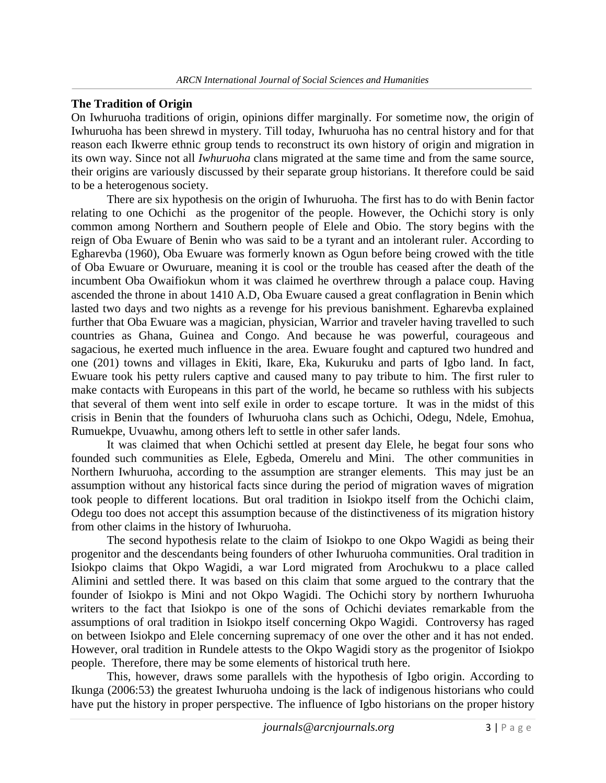# **The Tradition of Origin**

On Iwhuruoha traditions of origin, opinions differ marginally. For sometime now, the origin of Iwhuruoha has been shrewd in mystery. Till today, Iwhuruoha has no central history and for that reason each Ikwerre ethnic group tends to reconstruct its own history of origin and migration in its own way. Since not all *Iwhuruoha* clans migrated at the same time and from the same source, their origins are variously discussed by their separate group historians. It therefore could be said to be a heterogenous society.

There are six hypothesis on the origin of Iwhuruoha. The first has to do with Benin factor relating to one Ochichi as the progenitor of the people. However, the Ochichi story is only common among Northern and Southern people of Elele and Obio. The story begins with the reign of Oba Ewuare of Benin who was said to be a tyrant and an intolerant ruler. According to Egharevba (1960), Oba Ewuare was formerly known as Ogun before being crowed with the title of Oba Ewuare or Owuruare, meaning it is cool or the trouble has ceased after the death of the incumbent Oba Owaifiokun whom it was claimed he overthrew through a palace coup. Having ascended the throne in about 1410 A.D, Oba Ewuare caused a great conflagration in Benin which lasted two days and two nights as a revenge for his previous banishment. Egharevba explained further that Oba Ewuare was a magician, physician, Warrior and traveler having travelled to such countries as Ghana, Guinea and Congo. And because he was powerful, courageous and sagacious, he exerted much influence in the area. Ewuare fought and captured two hundred and one (201) towns and villages in Ekiti, Ikare, Eka, Kukuruku and parts of Igbo land. In fact, Ewuare took his petty rulers captive and caused many to pay tribute to him. The first ruler to make contacts with Europeans in this part of the world, he became so ruthless with his subjects that several of them went into self exile in order to escape torture. It was in the midst of this crisis in Benin that the founders of Iwhuruoha clans such as Ochichi, Odegu, Ndele, Emohua, Rumuekpe, Uvuawhu, among others left to settle in other safer lands.

It was claimed that when Ochichi settled at present day Elele, he begat four sons who founded such communities as Elele, Egbeda, Omerelu and Mini. The other communities in Northern Iwhuruoha, according to the assumption are stranger elements. This may just be an assumption without any historical facts since during the period of migration waves of migration took people to different locations. But oral tradition in Isiokpo itself from the Ochichi claim, Odegu too does not accept this assumption because of the distinctiveness of its migration history from other claims in the history of Iwhuruoha.

The second hypothesis relate to the claim of Isiokpo to one Okpo Wagidi as being their progenitor and the descendants being founders of other Iwhuruoha communities. Oral tradition in Isiokpo claims that Okpo Wagidi, a war Lord migrated from Arochukwu to a place called Alimini and settled there. It was based on this claim that some argued to the contrary that the founder of Isiokpo is Mini and not Okpo Wagidi. The Ochichi story by northern Iwhuruoha writers to the fact that Isiokpo is one of the sons of Ochichi deviates remarkable from the assumptions of oral tradition in Isiokpo itself concerning Okpo Wagidi. Controversy has raged on between Isiokpo and Elele concerning supremacy of one over the other and it has not ended. However, oral tradition in Rundele attests to the Okpo Wagidi story as the progenitor of Isiokpo people. Therefore, there may be some elements of historical truth here.

dements of mistorical fruith here.<br>
allels with the hypothesis of Igbo origin. According to<br>
a undoing is the lack of indigenous historians who could<br>
re. The influence of Igbo historians on the proper history<br> *journals@a* This, however, draws some parallels with the hypothesis of Igbo origin. According to Ikunga (2006:53) the greatest Iwhuruoha undoing is the lack of indigenous historians who could have put the history in proper perspective. The influence of Igbo historians on the proper history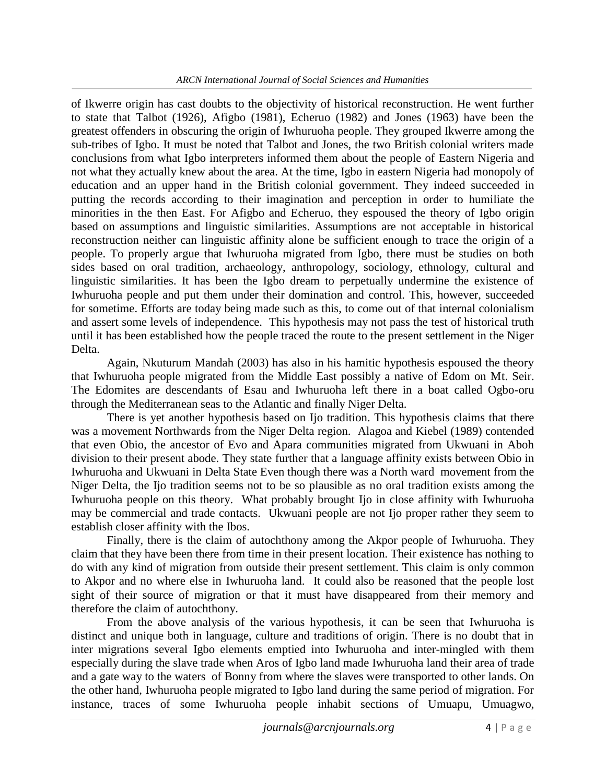of Ikwerre origin has cast doubts to the objectivity of historical reconstruction. He went further to state that Talbot (1926), Afigbo (1981), Echeruo (1982) and Jones (1963) have been the greatest offenders in obscuring the origin of Iwhuruoha people. They grouped Ikwerre among the sub-tribes of Igbo. It must be noted that Talbot and Jones, the two British colonial writers made conclusions from what Igbo interpreters informed them about the people of Eastern Nigeria and not what they actually knew about the area. At the time, Igbo in eastern Nigeria had monopoly of education and an upper hand in the British colonial government. They indeed succeeded in putting the records according to their imagination and perception in order to humiliate the minorities in the then East. For Afigbo and Echeruo, they espoused the theory of Igbo origin based on assumptions and linguistic similarities. Assumptions are not acceptable in historical reconstruction neither can linguistic affinity alone be sufficient enough to trace the origin of a people. To properly argue that Iwhuruoha migrated from Igbo, there must be studies on both sides based on oral tradition, archaeology, anthropology, sociology, ethnology, cultural and linguistic similarities. It has been the Igbo dream to perpetually undermine the existence of Iwhuruoha people and put them under their domination and control. This, however, succeeded for sometime. Efforts are today being made such as this, to come out of that internal colonialism and assert some levels of independence. This hypothesis may not pass the test of historical truth until it has been established how the people traced the route to the present settlement in the Niger Delta.

Again, Nkuturum Mandah (2003) has also in his hamitic hypothesis espoused the theory that Iwhuruoha people migrated from the Middle East possibly a native of Edom on Mt. Seir. The Edomites are descendants of Esau and Iwhuruoha left there in a boat called Ogbo-oru through the Mediterranean seas to the Atlantic and finally Niger Delta.

There is yet another hypothesis based on Ijo tradition. This hypothesis claims that there was a movement Northwards from the Niger Delta region. Alagoa and Kiebel (1989) contended that even Obio, the ancestor of Evo and Apara communities migrated from Ukwuani in Aboh division to their present abode. They state further that a language affinity exists between Obio in Iwhuruoha and Ukwuani in Delta State Even though there was a North ward movement from the Niger Delta, the Ijo tradition seems not to be so plausible as no oral tradition exists among the Iwhuruoha people on this theory. What probably brought Ijo in close affinity with Iwhuruoha may be commercial and trade contacts. Ukwuani people are not Ijo proper rather they seem to establish closer affinity with the Ibos.

Finally, there is the claim of autochthony among the Akpor people of Iwhuruoha. They claim that they have been there from time in their present location. Their existence has nothing to do with any kind of migration from outside their present settlement. This claim is only common to Akpor and no where else in Iwhuruoha land. It could also be reasoned that the people lost sight of their source of migration or that it must have disappeared from their memory and therefore the claim of autochthony.

*[journals@arcnjournals.org](mailto:journals@arcnjournals.org)* 4 | P a g e From the above analysis of the various hypothesis, it can be seen that Iwhuruoha is distinct and unique both in language, culture and traditions of origin. There is no doubt that in inter migrations several Igbo elements emptied into Iwhuruoha and inter-mingled with them especially during the slave trade when Aros of Igbo land made Iwhuruoha land their area of trade and a gate way to the waters of Bonny from where the slaves were transported to other lands. On the other hand, Iwhuruoha people migrated to Igbo land during the same period of migration. For instance, traces of some Iwhuruoha people inhabit sections of Umuapu, Umuagwo,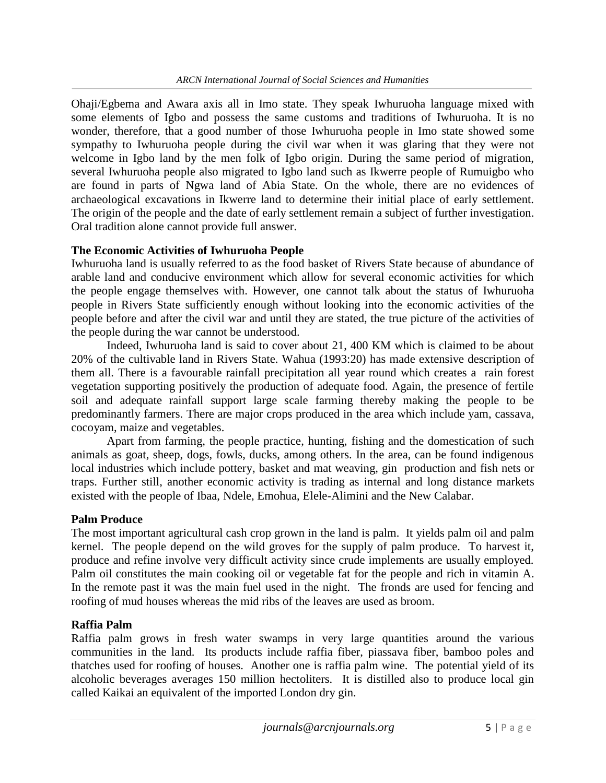Ohaji/Egbema and Awara axis all in Imo state. They speak Iwhuruoha language mixed with some elements of Igbo and possess the same customs and traditions of Iwhuruoha. It is no wonder, therefore, that a good number of those Iwhuruoha people in Imo state showed some sympathy to Iwhuruoha people during the civil war when it was glaring that they were not welcome in Igbo land by the men folk of Igbo origin. During the same period of migration, several Iwhuruoha people also migrated to Igbo land such as Ikwerre people of Rumuigbo who are found in parts of Ngwa land of Abia State. On the whole, there are no evidences of archaeological excavations in Ikwerre land to determine their initial place of early settlement. The origin of the people and the date of early settlement remain a subject of further investigation. Oral tradition alone cannot provide full answer.

#### **The Economic Activities of Iwhuruoha People**

Iwhuruoha land is usually referred to as the food basket of Rivers State because of abundance of arable land and conducive environment which allow for several economic activities for which the people engage themselves with. However, one cannot talk about the status of Iwhuruoha people in Rivers State sufficiently enough without looking into the economic activities of the people before and after the civil war and until they are stated, the true picture of the activities of the people during the war cannot be understood.

Indeed, Iwhuruoha land is said to cover about 21, 400 KM which is claimed to be about 20% of the cultivable land in Rivers State. Wahua (1993:20) has made extensive description of them all. There is a favourable rainfall precipitation all year round which creates a rain forest vegetation supporting positively the production of adequate food. Again, the presence of fertile soil and adequate rainfall support large scale farming thereby making the people to be predominantly farmers. There are major crops produced in the area which include yam, cassava, cocoyam, maize and vegetables.

Apart from farming, the people practice, hunting, fishing and the domestication of such animals as goat, sheep, dogs, fowls, ducks, among others. In the area, can be found indigenous local industries which include pottery, basket and mat weaving, gin production and fish nets or traps. Further still, another economic activity is trading as internal and long distance markets existed with the people of Ibaa, Ndele, Emohua, Elele-Alimini and the New Calabar.

#### **Palm Produce**

The most important agricultural cash crop grown in the land is palm. It yields palm oil and palm kernel. The people depend on the wild groves for the supply of palm produce. To harvest it, produce and refine involve very difficult activity since crude implements are usually employed. Palm oil constitutes the main cooking oil or vegetable fat for the people and rich in vitamin A. In the remote past it was the main fuel used in the night. The fronds are used for fencing and roofing of mud houses whereas the mid ribs of the leaves are used as broom.

#### **Raffia Palm**

*[journals@arcnjournals.org](mailto:journals@arcnjournals.org)* 5 | P a g e Raffia palm grows in fresh water swamps in very large quantities around the various communities in the land. Its products include raffia fiber, piassava fiber, bamboo poles and thatches used for roofing of houses. Another one is raffia palm wine. The potential yield of its alcoholic beverages averages 150 million hectoliters. It is distilled also to produce local gin called Kaikai an equivalent of the imported London dry gin.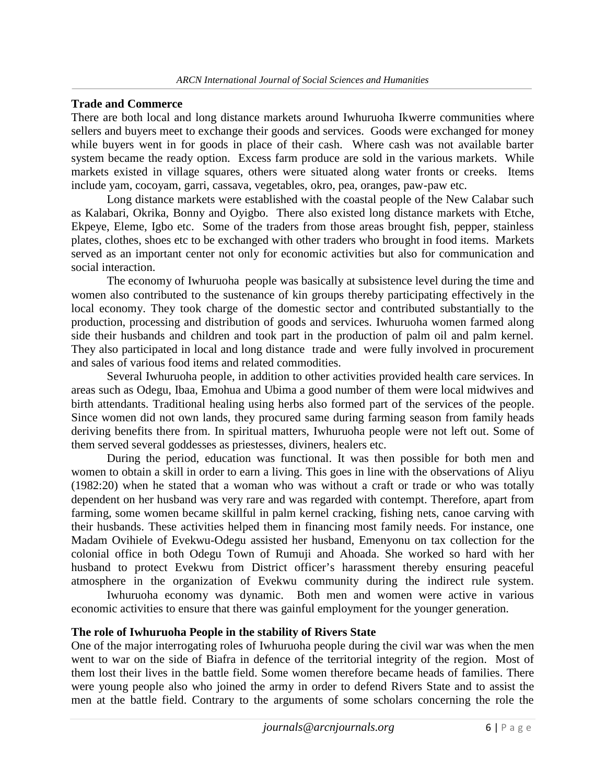## **Trade and Commerce**

There are both local and long distance markets around Iwhuruoha Ikwerre communities where sellers and buyers meet to exchange their goods and services. Goods were exchanged for money while buyers went in for goods in place of their cash. Where cash was not available barter system became the ready option. Excess farm produce are sold in the various markets. While markets existed in village squares, others were situated along water fronts or creeks. Items include yam, cocoyam, garri, cassava, vegetables, okro, pea, oranges, paw-paw etc.

Long distance markets were established with the coastal people of the New Calabar such as Kalabari, Okrika, Bonny and Oyigbo. There also existed long distance markets with Etche, Ekpeye, Eleme, Igbo etc. Some of the traders from those areas brought fish, pepper, stainless plates, clothes, shoes etc to be exchanged with other traders who brought in food items. Markets served as an important center not only for economic activities but also for communication and social interaction.

The economy of Iwhuruoha people was basically at subsistence level during the time and women also contributed to the sustenance of kin groups thereby participating effectively in the local economy. They took charge of the domestic sector and contributed substantially to the production, processing and distribution of goods and services. Iwhuruoha women farmed along side their husbands and children and took part in the production of palm oil and palm kernel. They also participated in local and long distance trade and were fully involved in procurement and sales of various food items and related commodities.

Several Iwhuruoha people, in addition to other activities provided health care services. In areas such as Odegu, Ibaa, Emohua and Ubima a good number of them were local midwives and birth attendants. Traditional healing using herbs also formed part of the services of the people. Since women did not own lands, they procured same during farming season from family heads deriving benefits there from. In spiritual matters, Iwhuruoha people were not left out. Some of them served several goddesses as priestesses, diviners, healers etc.

During the period, education was functional. It was then possible for both men and women to obtain a skill in order to earn a living. This goes in line with the observations of Aliyu (1982:20) when he stated that a woman who was without a craft or trade or who was totally dependent on her husband was very rare and was regarded with contempt. Therefore, apart from farming, some women became skillful in palm kernel cracking, fishing nets, canoe carving with their husbands. These activities helped them in financing most family needs. For instance, one Madam Ovihiele of Evekwu-Odegu assisted her husband, Emenyonu on tax collection for the colonial office in both Odegu Town of Rumuji and Ahoada. She worked so hard with her husband to protect Evekwu from District officer's harassment thereby ensuring peaceful atmosphere in the organization of Evekwu community during the indirect rule system.

Iwhuruoha economy was dynamic. Both men and women were active in various economic activities to ensure that there was gainful employment for the younger generation.

#### **The role of Iwhuruoha People in the stability of Rivers State**

France of the territorial integrity of the region. These of<br>Some women therefore became heads of families. There<br>e arguments of some scholars concerning the role the<br>[journals@arcnjournals.org](mailto:journals@arcnjournals.org) 6 | P a g e One of the major interrogating roles of Iwhuruoha people during the civil war was when the men went to war on the side of Biafra in defence of the territorial integrity of the region. Most of them lost their lives in the battle field. Some women therefore became heads of families. There were young people also who joined the army in order to defend Rivers State and to assist the men at the battle field. Contrary to the arguments of some scholars concerning the role the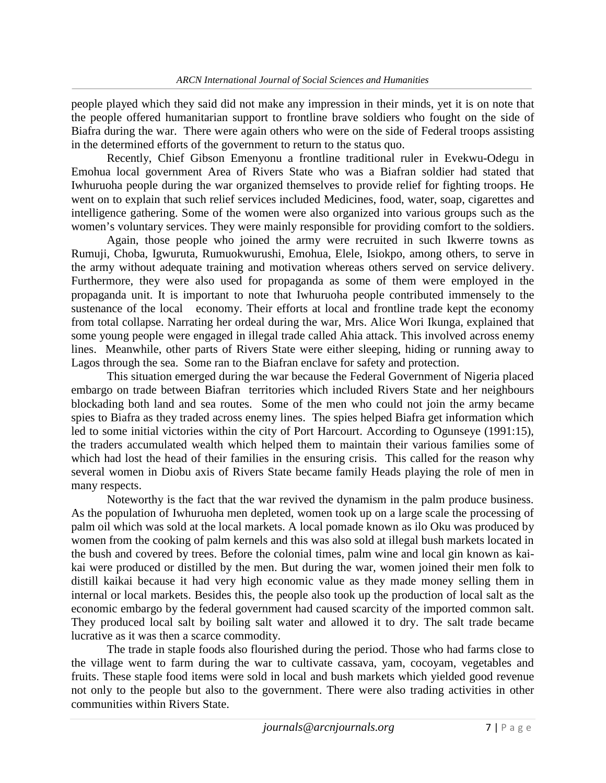people played which they said did not make any impression in their minds, yet it is on note that the people offered humanitarian support to frontline brave soldiers who fought on the side of Biafra during the war. There were again others who were on the side of Federal troops assisting in the determined efforts of the government to return to the status quo.

Recently, Chief Gibson Emenyonu a frontline traditional ruler in Evekwu-Odegu in Emohua local government Area of Rivers State who was a Biafran soldier had stated that Iwhuruoha people during the war organized themselves to provide relief for fighting troops. He went on to explain that such relief services included Medicines, food, water, soap, cigarettes and intelligence gathering. Some of the women were also organized into various groups such as the women's voluntary services. They were mainly responsible for providing comfort to the soldiers.

Again, those people who joined the army were recruited in such Ikwerre towns as Rumuji, Choba, Igwuruta, Rumuokwurushi, Emohua, Elele, Isiokpo, among others, to serve in the army without adequate training and motivation whereas others served on service delivery. Furthermore, they were also used for propaganda as some of them were employed in the propaganda unit. It is important to note that Iwhuruoha people contributed immensely to the sustenance of the local economy. Their efforts at local and frontline trade kept the economy from total collapse. Narrating her ordeal during the war, Mrs. Alice Wori Ikunga, explained that some young people were engaged in illegal trade called Ahia attack. This involved across enemy lines. Meanwhile, other parts of Rivers State were either sleeping, hiding or running away to Lagos through the sea. Some ran to the Biafran enclave for safety and protection.

This situation emerged during the war because the Federal Government of Nigeria placed embargo on trade between Biafran territories which included Rivers State and her neighbours blockading both land and sea routes. Some of the men who could not join the army became spies to Biafra as they traded across enemy lines. The spies helped Biafra get information which led to some initial victories within the city of Port Harcourt. According to Ogunseye (1991:15), the traders accumulated wealth which helped them to maintain their various families some of which had lost the head of their families in the ensuring crisis. This called for the reason why several women in Diobu axis of Rivers State became family Heads playing the role of men in many respects.

Noteworthy is the fact that the war revived the dynamism in the palm produce business. As the population of Iwhuruoha men depleted, women took up on a large scale the processing of palm oil which was sold at the local markets. A local pomade known as ilo Oku was produced by women from the cooking of palm kernels and this was also sold at illegal bush markets located in the bush and covered by trees. Before the colonial times, palm wine and local gin known as kai kai were produced or distilled by the men. But during the war, women joined their men folk to distill kaikai because it had very high economic value as they made money selling them in internal or local markets. Besides this, the people also took up the production of local salt as the economic embargo by the federal government had caused scarcity of the imported common salt. They produced local salt by boiling salt water and allowed it to dry. The salt trade became lucrative as it was then a scarce commodity.

ar to cultivate cassava, yam, cocoyam, vegetables and<br>d in local and bush markets which yielded good revenue<br>government. There were also trading activities in other<br>[journals@arcnjournals.org](mailto:journals@arcnjournals.org) 7 | P a g e The trade in staple foods also flourished during the period. Those who had farms close to the village went to farm during the war to cultivate cassava, yam, cocoyam, vegetables and fruits. These staple food items were sold in local and bush markets which yielded good revenue not only to the people but also to the government. There were also trading activities in other communities within Rivers State.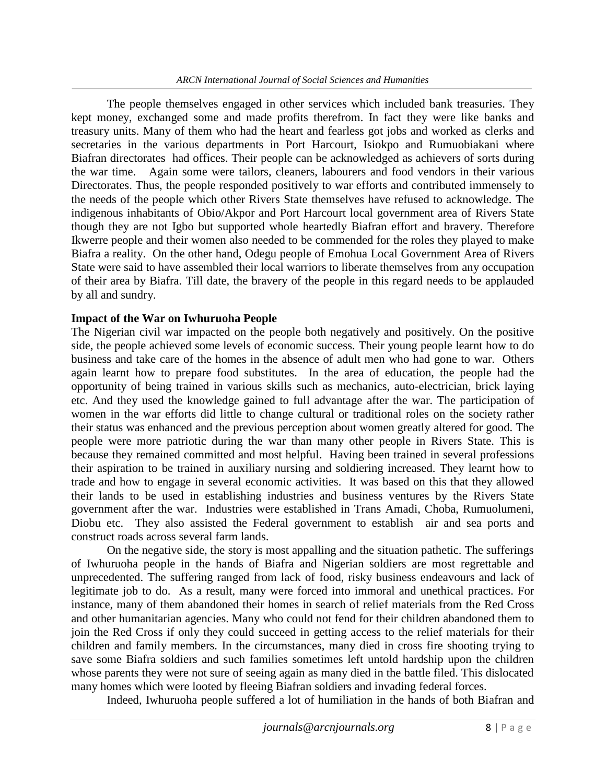The people themselves engaged in other services which included bank treasuries. They kept money, exchanged some and made profits therefrom. In fact they were like banks and treasury units. Many of them who had the heart and fearless got jobs and worked as clerks and secretaries in the various departments in Port Harcourt, Isiokpo and Rumuobiakani where Biafran directorates had offices. Their people can be acknowledged as achievers of sorts during the war time. Again some were tailors, cleaners, labourers and food vendors in their various Directorates. Thus, the people responded positively to war efforts and contributed immensely to the needs of the people which other Rivers State themselves have refused to acknowledge. The indigenous inhabitants of Obio/Akpor and Port Harcourt local government area of Rivers State though they are not Igbo but supported whole heartedly Biafran effort and bravery. Therefore Ikwerre people and their women also needed to be commended for the roles they played to make Biafra a reality. On the other hand, Odegu people of Emohua Local Government Area of Rivers State were said to have assembled their local warriors to liberate themselves from any occupation of their area by Biafra. Till date, the bravery of the people in this regard needs to be applauded by all and sundry.

#### **Impact of the War on Iwhuruoha People**

The Nigerian civil war impacted on the people both negatively and positively. On the positive side, the people achieved some levels of economic success. Their young people learnt how to do business and take care of the homes in the absence of adult men who had gone to war. Others again learnt how to prepare food substitutes. In the area of education, the people had the opportunity of being trained in various skills such as mechanics, auto-electrician, brick laying etc. And they used the knowledge gained to full advantage after the war. The participation of women in the war efforts did little to change cultural or traditional roles on the society rather their status was enhanced and the previous perception about women greatly altered for good. The people were more patriotic during the war than many other people in Rivers State. This is because they remained committed and most helpful. Having been trained in several professions their aspiration to be trained in auxiliary nursing and soldiering increased. They learnt how to trade and how to engage in several economic activities. It was based on this that they allowed their lands to be used in establishing industries and business ventures by the Rivers State government after the war. Industries were established in Trans Amadi, Choba, Rumuolumeni, Diobu etc. They also assisted the Federal government to establish air and sea ports and construct roads across several farm lands.

*journals* are any died in the battle filed. This dislocated<br>ag Biafran soldiers and invading federal forces.<br>ed a lot of humiliation in the hands of both Biafran and<br>[journals@arcnjournals.org](mailto:journals@arcnjournals.org) 8 | P a g e On the negative side, the story is most appalling and the situation pathetic. The sufferings of Iwhuruoha people in the hands of Biafra and Nigerian soldiers are most regrettable and unprecedented. The suffering ranged from lack of food, risky business endeavours and lack of legitimate job to do. As a result, many were forced into immoral and unethical practices. For instance, many of them abandoned their homes in search of relief materials from the Red Cross and other humanitarian agencies. Many who could not fend for their children abandoned them to join the Red Cross if only they could succeed in getting access to the relief materials for their children and family members. In the circumstances, many died in cross fire shooting trying to save some Biafra soldiers and such families sometimes left untold hardship upon the children whose parents they were not sure of seeing again as many died in the battle filed. This dislocated many homes which were looted by fleeing Biafran soldiers and invading federal forces.

Indeed, Iwhuruoha people suffered a lot of humiliation in the hands of both Biafran and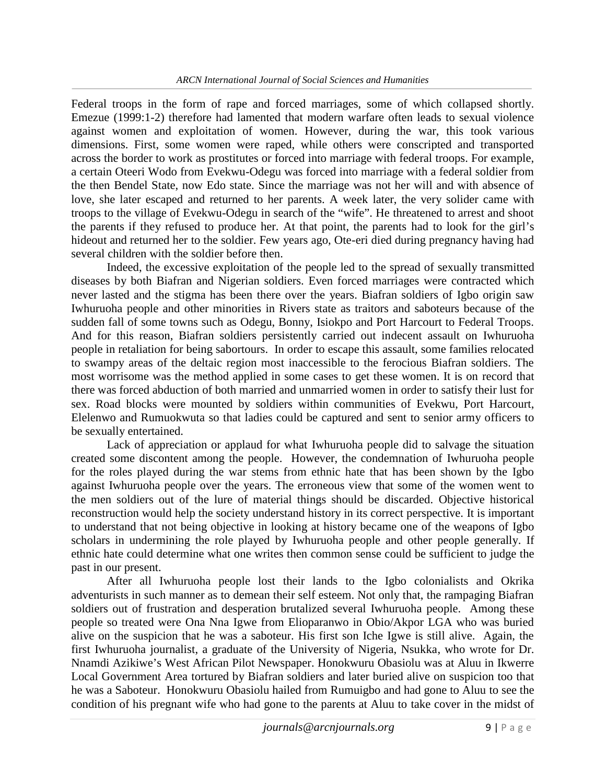Federal troops in the form of rape and forced marriages, some of which collapsed shortly. Emezue (1999:1-2) therefore had lamented that modern warfare often leads to sexual violence against women and exploitation of women. However, during the war, this took various dimensions. First, some women were raped, while others were conscripted and transported across the border to work as prostitutes or forced into marriage with federal troops. For example, a certain Oteeri Wodo from Evekwu-Odegu was forced into marriage with a federal soldier from the then Bendel State, now Edo state. Since the marriage was not her will and with absence of love, she later escaped and returned to her parents. A week later, the very solider came with troops to the village of Evekwu-Odegu in search of the "wife". He threatened to arrest and shoot the parents if they refused to produce her. At that point, the parents had to look for the girl's hideout and returned her to the soldier. Few years ago, Ote-eri died during pregnancy having had several children with the soldier before then.

Indeed, the excessive exploitation of the people led to the spread of sexually transmitted diseases by both Biafran and Nigerian soldiers. Even forced marriages were contracted which never lasted and the stigma has been there over the years. Biafran soldiers of Igbo origin saw Iwhuruoha people and other minorities in Rivers state as traitors and saboteurs because of the sudden fall of some towns such as Odegu, Bonny, Isiokpo and Port Harcourt to Federal Troops. And for this reason, Biafran soldiers persistently carried out indecent assault on Iwhuruoha people in retaliation for being sabortours. In order to escape this assault, some families relocated to swampy areas of the deltaic region most inaccessible to the ferocious Biafran soldiers. The most worrisome was the method applied in some cases to get these women. It is on record that there was forced abduction of both married and unmarried women in order to satisfy their lust for sex. Road blocks were mounted by soldiers within communities of Evekwu, Port Harcourt, Elelenwo and Rumuokwuta so that ladies could be captured and sent to senior army officers to be sexually entertained.

Lack of appreciation or applaud for what Iwhuruoha people did to salvage the situation created some discontent among the people. However, the condemnation of Iwhuruoha people for the roles played during the war stems from ethnic hate that has been shown by the Igbo against Iwhuruoha people over the years. The erroneous view that some of the women went to the men soldiers out of the lure of material things should be discarded. Objective historical reconstruction would help the society understand history in its correct perspective. It is important to understand that not being objective in looking at history became one of the weapons of Igbo scholars in undermining the role played by Iwhuruoha people and other people generally. If ethnic hate could determine what one writes then common sense could be sufficient to judge the past in our present.

*[journals@arcnjournals.org](mailto:journals@arcnjournals.org)* 9 | P a g e After all Iwhuruoha people lost their lands to the Igbo colonialists and Okrika adventurists in such manner as to demean their self esteem. Not only that, the rampaging Biafran soldiers out of frustration and desperation brutalized several Iwhuruoha people. Among these people so treated were Ona Nna Igwe from Elioparanwo in Obio/Akpor LGA who was buried alive on the suspicion that he was a saboteur. His first son Iche Igwe is still alive. Again, the first Iwhuruoha journalist, a graduate of the University of Nigeria, Nsukka, who wrote for Dr. Nnamdi Azikiwe's West African Pilot Newspaper. Honokwuru Obasiolu was at Aluu in Ikwerre Local Government Area tortured by Biafran soldiers and later buried alive on suspicion too that he was a Saboteur. Honokwuru Obasiolu hailed from Rumuigbo and had gone to Aluu to see the condition of his pregnant wife who had gone to the parents at Aluu to take cover in the midst of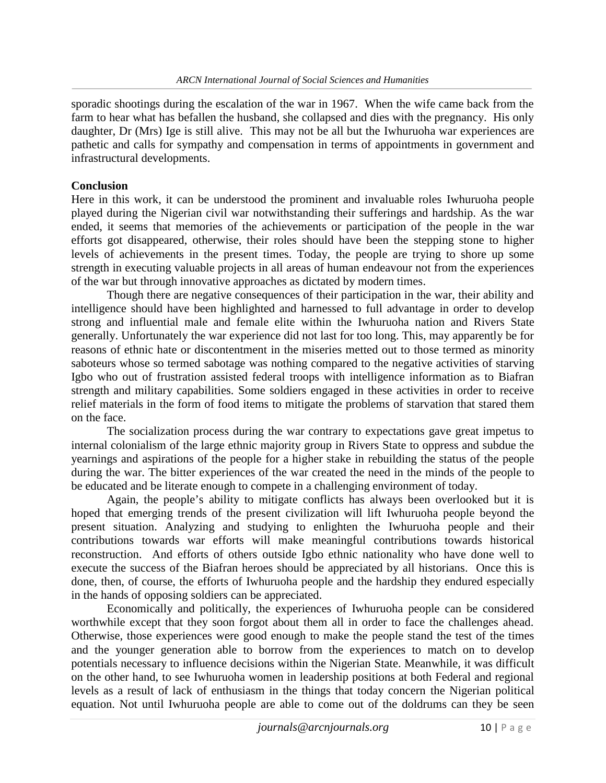sporadic shootings during the escalation of the war in 1967. When the wife came back from the farm to hear what has befallen the husband, she collapsed and dies with the pregnancy. His only daughter, Dr (Mrs) Ige is still alive. This may not be all but the Iwhuruoha war experiences are pathetic and calls for sympathy and compensation in terms of appointments in government and infrastructural developments.

## **Conclusion**

Here in this work, it can be understood the prominent and invaluable roles Iwhuruoha people played during the Nigerian civil war notwithstanding their sufferings and hardship. As the war ended, it seems that memories of the achievements or participation of the people in the war efforts got disappeared, otherwise, their roles should have been the stepping stone to higher levels of achievements in the present times. Today, the people are trying to shore up some strength in executing valuable projects in all areas of human endeavour not from the experiences of the war but through innovative approaches as dictated by modern times.

Though there are negative consequences of their participation in the war, their ability and intelligence should have been highlighted and harnessed to full advantage in order to develop strong and influential male and female elite within the Iwhuruoha nation and Rivers State generally. Unfortunately the war experience did not last for too long. This, may apparently be for reasons of ethnic hate or discontentment in the miseries metted out to those termed as minority saboteurs whose so termed sabotage was nothing compared to the negative activities of starving Igbo who out of frustration assisted federal troops with intelligence information as to Biafran strength and military capabilities. Some soldiers engaged in these activities in order to receive relief materials in the form of food items to mitigate the problems of starvation that stared them on the face.

The socialization process during the war contrary to expectations gave great impetus to internal colonialism of the large ethnic majority group in Rivers State to oppress and subdue the yearnings and aspirations of the people for a higher stake in rebuilding the status of the people during the war. The bitter experiences of the war created the need in the minds of the people to be educated and be literate enough to compete in a challenging environment of today.

Again, the people's ability to mitigate conflicts has always been overlooked but it is hoped that emerging trends of the present civilization will lift Iwhuruoha people beyond the present situation. Analyzing and studying to enlighten the Iwhuruoha people and their contributions towards war efforts will make meaningful contributions towards historical reconstruction. And efforts of others outside Igbo ethnic nationality who have done well to execute the success of the Biafran heroes should be appreciated by all historians. Once this is done, then, of course, the efforts of Iwhuruoha people and the hardship they endured especially in the hands of opposing soldiers can be appreciated.

ons within the Nigerian State. Meanwhile, it was difficult<br>omen in leadership positions at both Federal and regional<br>m in the things that today concern the Nigerian political<br>are able to come out of the doldrums can they b Economically and politically, the experiences of Iwhuruoha people can be considered worthwhile except that they soon forgot about them all in order to face the challenges ahead. Otherwise, those experiences were good enough to make the people stand the test of the times and the younger generation able to borrow from the experiences to match on to develop potentials necessary to influence decisions within the Nigerian State. Meanwhile, it was difficult on the other hand, to see Iwhuruoha women in leadership positions at both Federal and regional levels as a result of lack of enthusiasm in the things that today concern the Nigerian political equation. Not until Iwhuruoha people are able to come out of the doldrums can they be seen